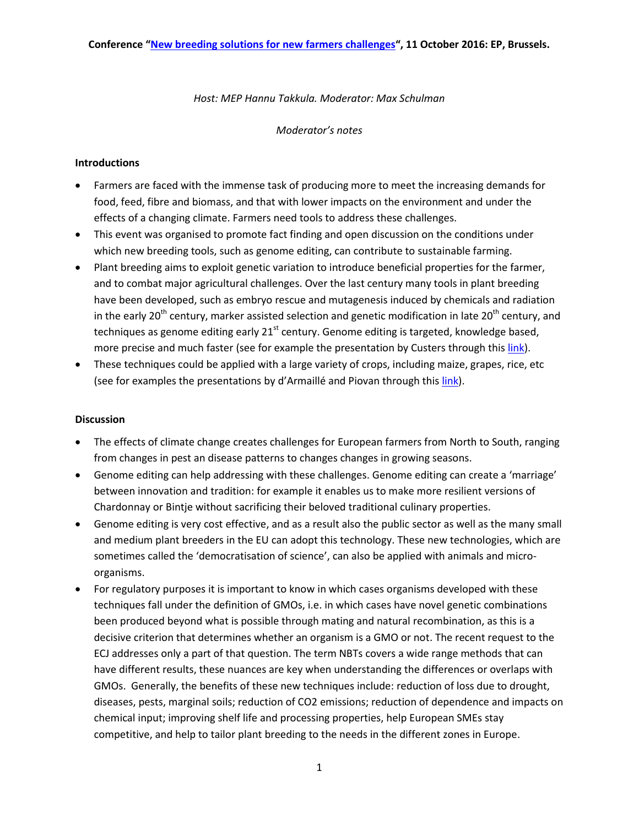## *Host: MEP Hannu Takkula. Moderator: Max Schulman*

## *Moderator's notes*

## **Introductions**

- Farmers are faced with the immense task of producing more to meet the increasing demands for food, feed, fibre and biomass, and that with lower impacts on the environment and under the effects of a changing climate. Farmers need tools to address these challenges.
- This event was organised to promote fact finding and open discussion on the conditions under which new breeding tools, such as genome editing, can contribute to sustainable farming.
- Plant breeding aims to exploit genetic variation to introduce beneficial properties for the farmer, and to combat major agricultural challenges. Over the last century many tools in plant breeding have been developed, such as embryo rescue and mutagenesis induced by chemicals and radiation in the early 20<sup>th</sup> century, marker assisted selection and genetic modification in late 20<sup>th</sup> century, and techniques as genome editing early  $21^{st}$  century. Genome editing is targeted, knowledge based, more precise and much faster (see for example the presentation by Custers through thi[s link\)](http://www.prri.net/2016-10-11-new-breeding-solutions-new-farmers-challenges/).
- These techniques could be applied with a large variety of crops, including maize, grapes, rice, etc (see for examples the presentations by d'Armaillé and Piovan through this *link*).

## **Discussion**

- The effects of climate change creates challenges for European farmers from North to South, ranging from changes in pest an disease patterns to changes changes in growing seasons.
- Genome editing can help addressing with these challenges. Genome editing can create a 'marriage' between innovation and tradition: for example it enables us to make more resilient versions of Chardonnay or Bintje without sacrificing their beloved traditional culinary properties.
- Genome editing is very cost effective, and as a result also the public sector as well as the many small and medium plant breeders in the EU can adopt this technology. These new technologies, which are sometimes called the 'democratisation of science', can also be applied with animals and microorganisms.
- For regulatory purposes it is important to know in which cases organisms developed with these techniques fall under the definition of GMOs, i.e. in which cases have novel genetic combinations been produced beyond what is possible through mating and natural recombination, as this is a decisive criterion that determines whether an organism is a GMO or not. The recent request to the ECJ addresses only a part of that question. The term NBTs covers a wide range methods that can have different results, these nuances are key when understanding the differences or overlaps with GMOs. Generally, the benefits of these new techniques include: reduction of loss due to drought, diseases, pests, marginal soils; reduction of CO2 emissions; reduction of dependence and impacts on chemical input; improving shelf life and processing properties, help European SMEs stay competitive, and help to tailor plant breeding to the needs in the different zones in Europe.